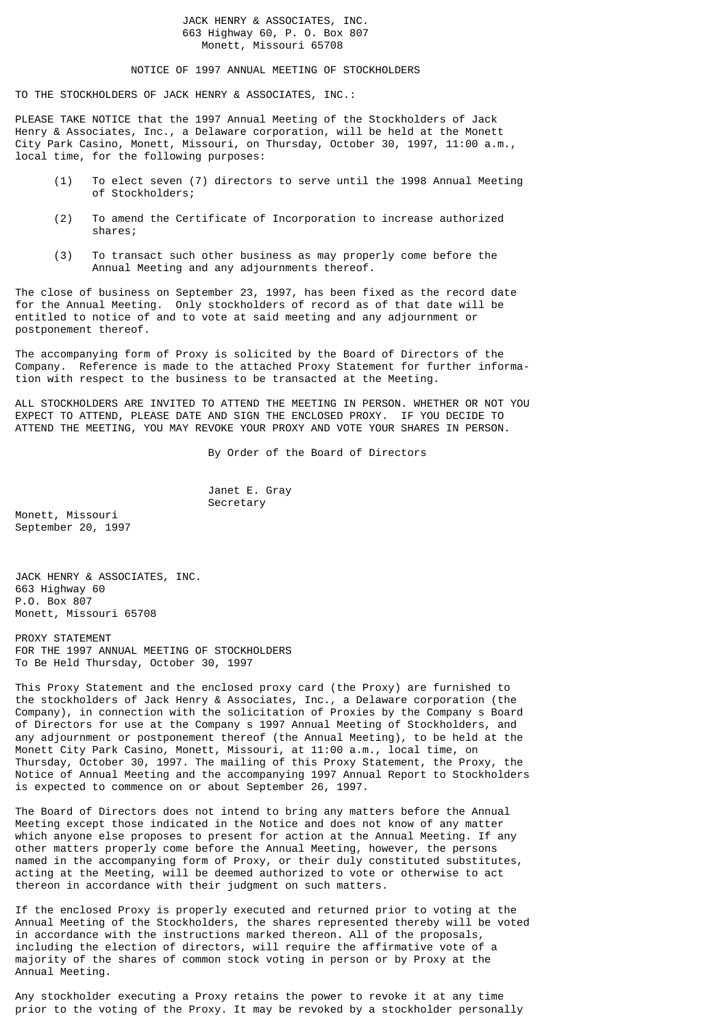# JACK HENRY & ASSOCIATES, INC. 663 Highway 60, P. O. Box 807 Monett, Missouri 65708

# NOTICE OF 1997 ANNUAL MEETING OF STOCKHOLDERS

TO THE STOCKHOLDERS OF JACK HENRY & ASSOCIATES, INC.:

PLEASE TAKE NOTICE that the 1997 Annual Meeting of the Stockholders of Jack Henry & Associates, Inc., a Delaware corporation, will be held at the Monett City Park Casino, Monett, Missouri, on Thursday, October 30, 1997, 11:00 a.m., local time, for the following purposes:

- (1) To elect seven (7) directors to serve until the 1998 Annual Meeting of Stockholders;
- (2) To amend the Certificate of Incorporation to increase authorized shares;
- (3) To transact such other business as may properly come before the Annual Meeting and any adjournments thereof.

The close of business on September 23, 1997, has been fixed as the record date for the Annual Meeting. Only stockholders of record as of that date will be entitled to notice of and to vote at said meeting and any adjournment or postponement thereof.

The accompanying form of Proxy is solicited by the Board of Directors of the Company. Reference is made to the attached Proxy Statement for further information with respect to the business to be transacted at the Meeting.

ALL STOCKHOLDERS ARE INVITED TO ATTEND THE MEETING IN PERSON. WHETHER OR NOT YOU EXPECT TO ATTEND, PLEASE DATE AND SIGN THE ENCLOSED PROXY. IF YOU DECIDE TO ATTEND THE MEETING, YOU MAY REVOKE YOUR PROXY AND VOTE YOUR SHARES IN PERSON.

By Order of the Board of Directors

 Janet E. Gray Secretary

Monett, Missouri September 20, 1997

JACK HENRY & ASSOCIATES, INC. 663 Highway 60 P.O. Box 807 Monett, Missouri 65708

PROXY STATEMENT FOR THE 1997 ANNUAL MEETING OF STOCKHOLDERS To Be Held Thursday, October 30, 1997

This Proxy Statement and the enclosed proxy card (the Proxy) are furnished to the stockholders of Jack Henry & Associates, Inc., a Delaware corporation (the Company), in connection with the solicitation of Proxies by the Company s Board of Directors for use at the Company s 1997 Annual Meeting of Stockholders, and any adjournment or postponement thereof (the Annual Meeting), to be held at the Monett City Park Casino, Monett, Missouri, at 11:00 a.m., local time, on Thursday, October 30, 1997. The mailing of this Proxy Statement, the Proxy, the Notice of Annual Meeting and the accompanying 1997 Annual Report to Stockholders is expected to commence on or about September 26, 1997.

The Board of Directors does not intend to bring any matters before the Annual Meeting except those indicated in the Notice and does not know of any matter which anyone else proposes to present for action at the Annual Meeting. If any other matters properly come before the Annual Meeting, however, the persons named in the accompanying form of Proxy, or their duly constituted substitutes, acting at the Meeting, will be deemed authorized to vote or otherwise to act thereon in accordance with their judgment on such matters.

If the enclosed Proxy is properly executed and returned prior to voting at the Annual Meeting of the Stockholders, the shares represented thereby will be voted in accordance with the instructions marked thereon. All of the proposals, including the election of directors, will require the affirmative vote of a majority of the shares of common stock voting in person or by Proxy at the Annual Meeting.

Any stockholder executing a Proxy retains the power to revoke it at any time prior to the voting of the Proxy. It may be revoked by a stockholder personally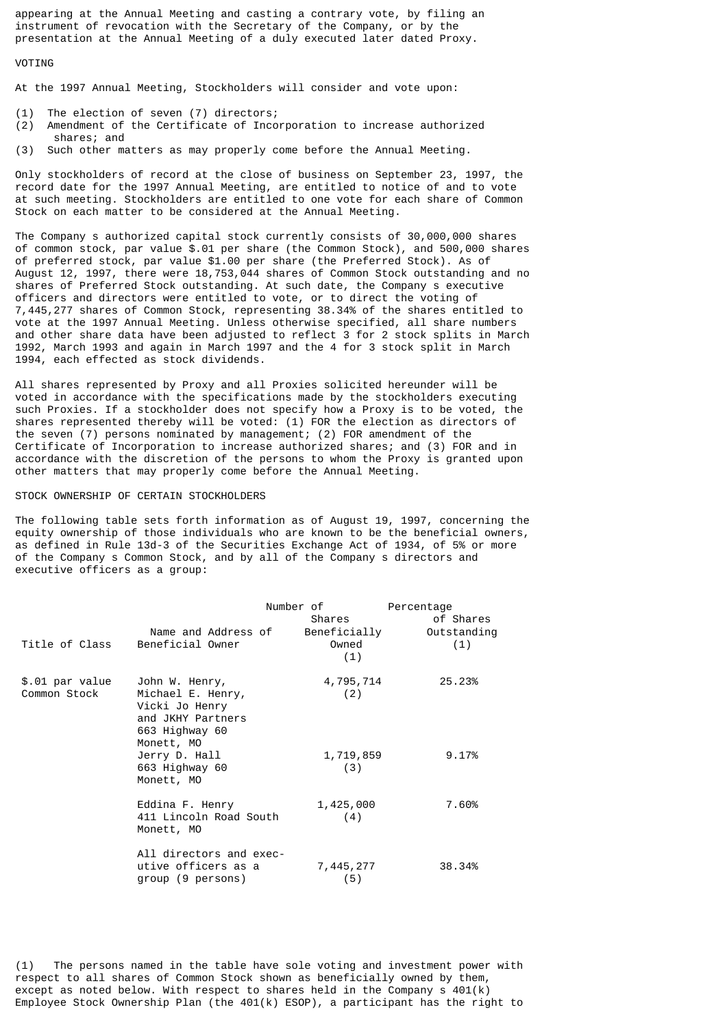appearing at the Annual Meeting and casting a contrary vote, by filing an instrument of revocation with the Secretary of the Company, or by the presentation at the Annual Meeting of a duly executed later dated Proxy.

# **VOTTNG**

At the 1997 Annual Meeting, Stockholders will consider and vote upon:

- (1) The election of seven (7) directors;
- (2) Amendment of the Certificate of Incorporation to increase authorized shares; and
- (3) Such other matters as may properly come before the Annual Meeting.

Only stockholders of record at the close of business on September 23, 1997, the record date for the 1997 Annual Meeting, are entitled to notice of and to vote at such meeting. Stockholders are entitled to one vote for each share of Common Stock on each matter to be considered at the Annual Meeting.

The Company s authorized capital stock currently consists of 30,000,000 shares of common stock, par value \$.01 per share (the Common Stock), and 500,000 shares of preferred stock, par value \$1.00 per share (the Preferred Stock). As of August 12, 1997, there were 18,753,044 shares of Common Stock outstanding and no shares of Preferred Stock outstanding. At such date, the Company s executive officers and directors were entitled to vote, or to direct the voting of 7,445,277 shares of Common Stock, representing 38.34% of the shares entitled to vote at the 1997 Annual Meeting. Unless otherwise specified, all share numbers and other share data have been adjusted to reflect 3 for 2 stock splits in March 1992, March 1993 and again in March 1997 and the 4 for 3 stock split in March 1994, each effected as stock dividends.

All shares represented by Proxy and all Proxies solicited hereunder will be voted in accordance with the specifications made by the stockholders executing such Proxies. If a stockholder does not specify how a Proxy is to be voted, the shares represented thereby will be voted: (1) FOR the election as directors of the seven (7) persons nominated by management; (2) FOR amendment of the Certificate of Incorporation to increase authorized shares; and (3) FOR and in accordance with the discretion of the persons to whom the Proxy is granted upon other matters that may properly come before the Annual Meeting.

### STOCK OWNERSHIP OF CERTAIN STOCKHOLDERS

The following table sets forth information as of August 19, 1997, concerning the equity ownership of those individuals who are known to be the beneficial owners, as defined in Rule 13d-3 of the Securities Exchange Act of 1934, of 5% or more of the Company s Common Stock, and by all of the Company s directors and executive officers as a group:

|                                 |                                                                                                            | Number of                              | Percentage                      |
|---------------------------------|------------------------------------------------------------------------------------------------------------|----------------------------------------|---------------------------------|
| Title of Class                  | Name and Address of<br>Beneficial Owner                                                                    | Shares<br>Beneficially<br>Owned<br>(1) | of Shares<br>Outstanding<br>(1) |
| \$.01 par value<br>Common Stock | John W. Henry,<br>Michael E. Henry,<br>Vicki Jo Henry<br>and JKHY Partners<br>663 Highway 60<br>Monett, MO | 4,795,714<br>(2)                       | 25.23%                          |
|                                 | Jerry D. Hall<br>663 Highway 60<br>Monett, MO                                                              | 1,719,859<br>(3)                       | 9.17%                           |
|                                 | Eddina F. Henry<br>411 Lincoln Road South<br>Monett, MO                                                    | 1,425,000<br>(4)                       | 7.60%                           |
|                                 | All directors and exec-<br>utive officers as a<br>group (9 persons)                                        | 7,445,277<br>(5)                       | 38.34%                          |

(1) The persons named in the table have sole voting and investment power with respect to all shares of Common Stock shown as beneficially owned by them, except as noted below. With respect to shares held in the Company s  $401(k)$ Employee Stock Ownership Plan (the  $401(k)$  ESOP), a participant has the right to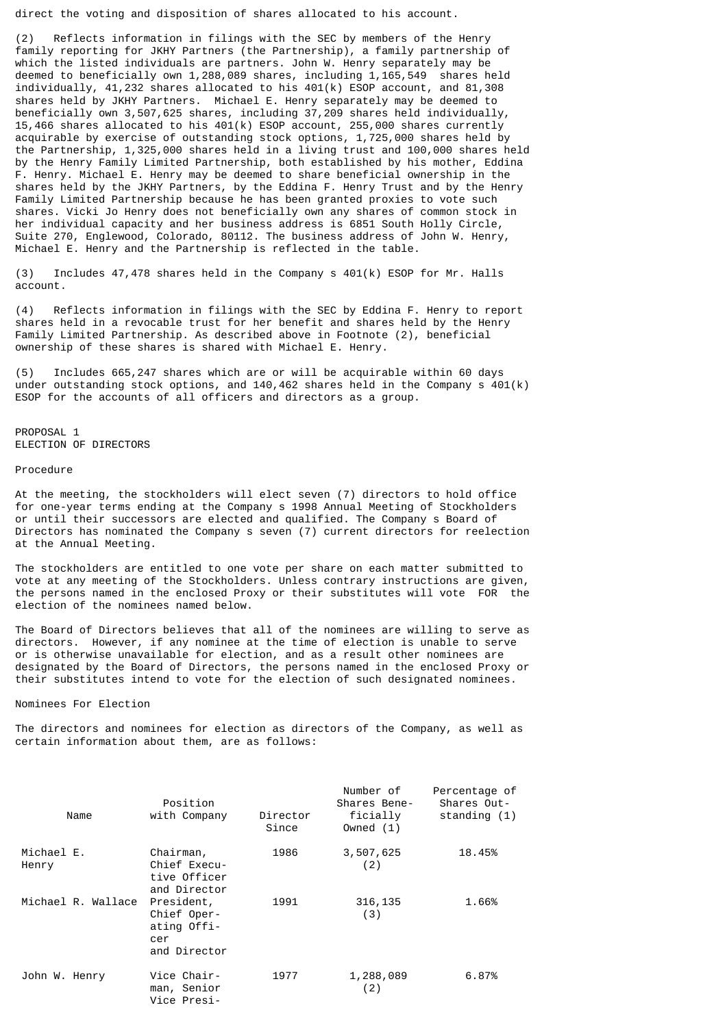direct the voting and disposition of shares allocated to his account.

(2) Reflects information in filings with the SEC by members of the Henry family reporting for JKHY Partners (the Partnership), a family partnership of which the listed individuals are partners. John W. Henry separately may be deemed to beneficially own 1,288,089 shares, including 1,165,549 shares held individually, 41,232 shares allocated to his 401(k) ESOP account, and 81,308 shares held by JKHY Partners. Michael E. Henry separately may be deemed to beneficially own 3,507,625 shares, including 37,209 shares held individually, 15,466 shares allocated to his 401(k) ESOP account, 255,000 shares currently acquirable by exercise of outstanding stock options, 1,725,000 shares held by the Partnership, 1,325,000 shares held in a living trust and 100,000 shares held by the Henry Family Limited Partnership, both established by his mother, Eddina F. Henry. Michael E. Henry may be deemed to share beneficial ownership in the shares held by the JKHY Partners, by the Eddina F. Henry Trust and by the Henry Family Limited Partnership because he has been granted proxies to vote such shares. Vicki Jo Henry does not beneficially own any shares of common stock in her individual capacity and her business address is 6851 South Holly Circle, Suite 270, Englewood, Colorado, 80112. The business address of John W. Henry, Michael E. Henry and the Partnership is reflected in the table.

(3) Includes 47,478 shares held in the Company s 401(k) ESOP for Mr. Halls account.

(4) Reflects information in filings with the SEC by Eddina F. Henry to report shares held in a revocable trust for her benefit and shares held by the Henry Family Limited Partnership. As described above in Footnote (2), beneficial ownership of these shares is shared with Michael E. Henry.

(5) Includes 665,247 shares which are or will be acquirable within 60 days under outstanding stock options, and 140,462 shares held in the Company s 401(k) ESOP for the accounts of all officers and directors as a group.

PROPOSAL 1 ELECTION OF DIRECTORS

### Procedure

At the meeting, the stockholders will elect seven (7) directors to hold office for one-year terms ending at the Company s 1998 Annual Meeting of Stockholders or until their successors are elected and qualified. The Company s Board of Directors has nominated the Company s seven (7) current directors for reelection at the Annual Meeting.

The stockholders are entitled to one vote per share on each matter submitted to vote at any meeting of the Stockholders. Unless contrary instructions are given, the persons named in the enclosed Proxy or their substitutes will vote FOR the election of the nominees named below.

The Board of Directors believes that all of the nominees are willing to serve as directors. However, if any nominee at the time of election is unable to serve or is otherwise unavailable for election, and as a result other nominees are designated by the Board of Directors, the persons named in the enclosed Proxy or their substitutes intend to vote for the election of such designated nominees.

Nominees For Election

The directors and nominees for election as directors of the Company, as well as certain information about them, are as follows:

| Name                | Position<br>with Company                                        | Director<br>Since | Number of<br>Shares Bene-<br>ficially<br>Owned $(1)$ | Percentage of<br>Shares Out-<br>standing $(1)$ |
|---------------------|-----------------------------------------------------------------|-------------------|------------------------------------------------------|------------------------------------------------|
| Michael E.<br>Henry | Chairman,<br>Chief Execu-<br>tive Officer<br>and Director       | 1986              | 3,507,625<br>(2)                                     | 18.45%                                         |
| Michael R. Wallace  | President,<br>Chief Oper-<br>ating Offi-<br>cer<br>and Director | 1991              | 316, 135<br>(3)                                      | 1.66%                                          |
| John W. Henry       | Vice Chair-<br>man, Senior<br>Vice Presi-                       | 1977              | 1,288,089<br>(2)                                     | 6.87%                                          |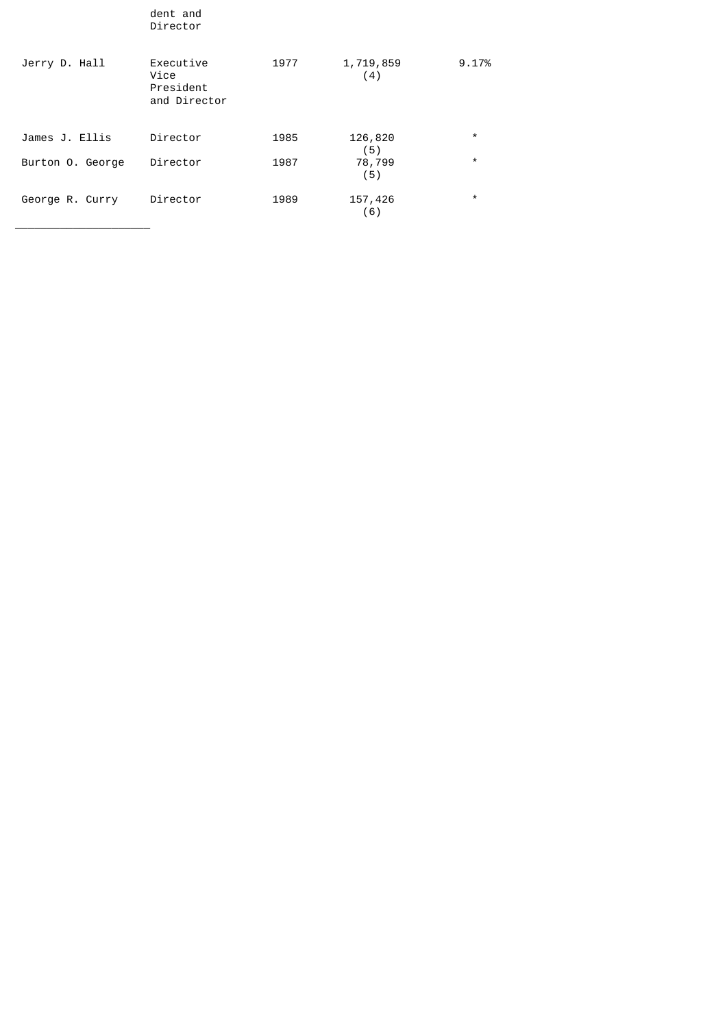|                  | dent and<br>Director                           |      |                  |         |
|------------------|------------------------------------------------|------|------------------|---------|
| Jerry D. Hall    | Executive<br>Vice<br>President<br>and Director | 1977 | 1,719,859<br>(4) | 9.17%   |
| James J. Ellis   | Director                                       | 1985 | 126,820<br>(5)   | $\star$ |
| Burton O. George | Director                                       | 1987 | 78,799<br>(5)    | $\star$ |
| George R. Curry  | Director                                       | 1989 | 157,426<br>(6)   | $\star$ |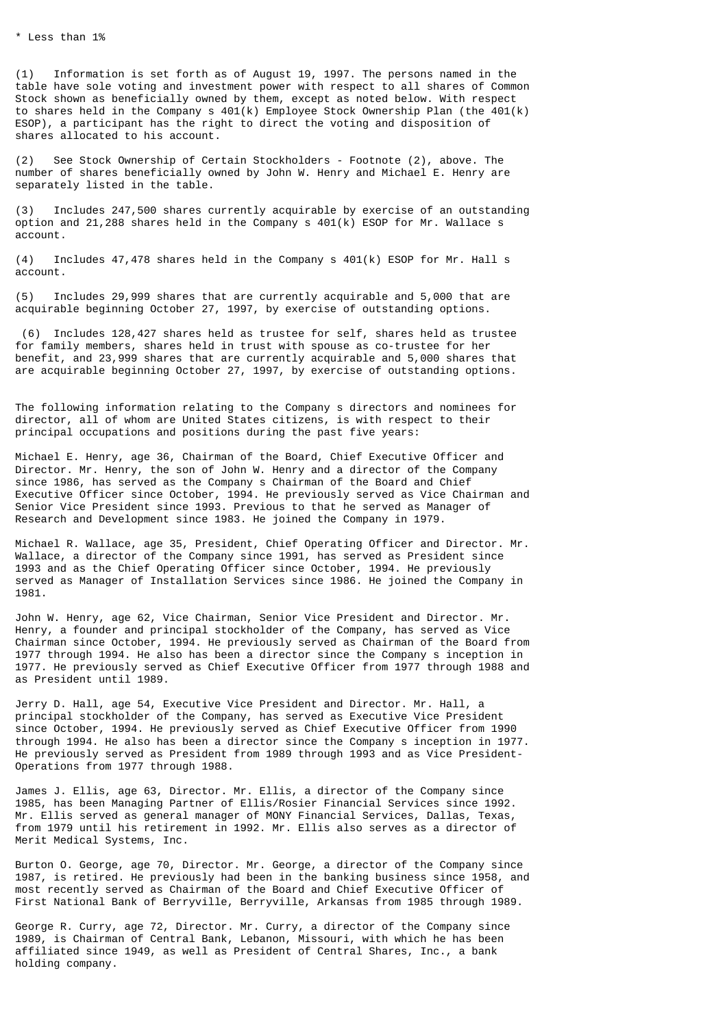(1) Information is set forth as of August 19, 1997. The persons named in the table have sole voting and investment power with respect to all shares of Common Stock shown as beneficially owned by them, except as noted below. With respect to shares held in the Company s 401(k) Employee Stock Ownership Plan (the 401(k) ESOP), a participant has the right to direct the voting and disposition of shares allocated to his account.

(2) See Stock Ownership of Certain Stockholders - Footnote (2), above. The number of shares beneficially owned by John W. Henry and Michael E. Henry are separately listed in the table.

(3) Includes 247,500 shares currently acquirable by exercise of an outstanding option and 21,288 shares held in the Company s  $401(k)$  ESOP for Mr. Wallace s account.

(4) Includes 47,478 shares held in the Company s 401(k) ESOP for Mr. Hall s account.

(5) Includes 29,999 shares that are currently acquirable and 5,000 that are acquirable beginning October 27, 1997, by exercise of outstanding options.

 (6) Includes 128,427 shares held as trustee for self, shares held as trustee for family members, shares held in trust with spouse as co-trustee for her benefit, and 23,999 shares that are currently acquirable and 5,000 shares that are acquirable beginning October 27, 1997, by exercise of outstanding options.

The following information relating to the Company s directors and nominees for director, all of whom are United States citizens, is with respect to their principal occupations and positions during the past five years:

Michael E. Henry, age 36, Chairman of the Board, Chief Executive Officer and Director. Mr. Henry, the son of John W. Henry and a director of the Company since 1986, has served as the Company s Chairman of the Board and Chief Executive Officer since October, 1994. He previously served as Vice Chairman and Senior Vice President since 1993. Previous to that he served as Manager of Research and Development since 1983. He joined the Company in 1979.

Michael R. Wallace, age 35, President, Chief Operating Officer and Director. Mr. Wallace, a director of the Company since 1991, has served as President since 1993 and as the Chief Operating Officer since October, 1994. He previously served as Manager of Installation Services since 1986. He joined the Company in 1981.

John W. Henry, age 62, Vice Chairman, Senior Vice President and Director. Mr. Henry, a founder and principal stockholder of the Company, has served as Vice Chairman since October, 1994. He previously served as Chairman of the Board from 1977 through 1994. He also has been a director since the Company s inception in 1977. He previously served as Chief Executive Officer from 1977 through 1988 and as President until 1989.

Jerry D. Hall, age 54, Executive Vice President and Director. Mr. Hall, a principal stockholder of the Company, has served as Executive Vice President since October, 1994. He previously served as Chief Executive Officer from 1990 through 1994. He also has been a director since the Company s inception in 1977. He previously served as President from 1989 through 1993 and as Vice President-Operations from 1977 through 1988.

James J. Ellis, age 63, Director. Mr. Ellis, a director of the Company since 1985, has been Managing Partner of Ellis/Rosier Financial Services since 1992. Mr. Ellis served as general manager of MONY Financial Services, Dallas, Texas, from 1979 until his retirement in 1992. Mr. Ellis also serves as a director of Merit Medical Systems, Inc.

Burton O. George, age 70, Director. Mr. George, a director of the Company since 1987, is retired. He previously had been in the banking business since 1958, and most recently served as Chairman of the Board and Chief Executive Officer of First National Bank of Berryville, Berryville, Arkansas from 1985 through 1989.

George R. Curry, age 72, Director. Mr. Curry, a director of the Company since 1989, is Chairman of Central Bank, Lebanon, Missouri, with which he has been affiliated since 1949, as well as President of Central Shares, Inc., a bank holding company.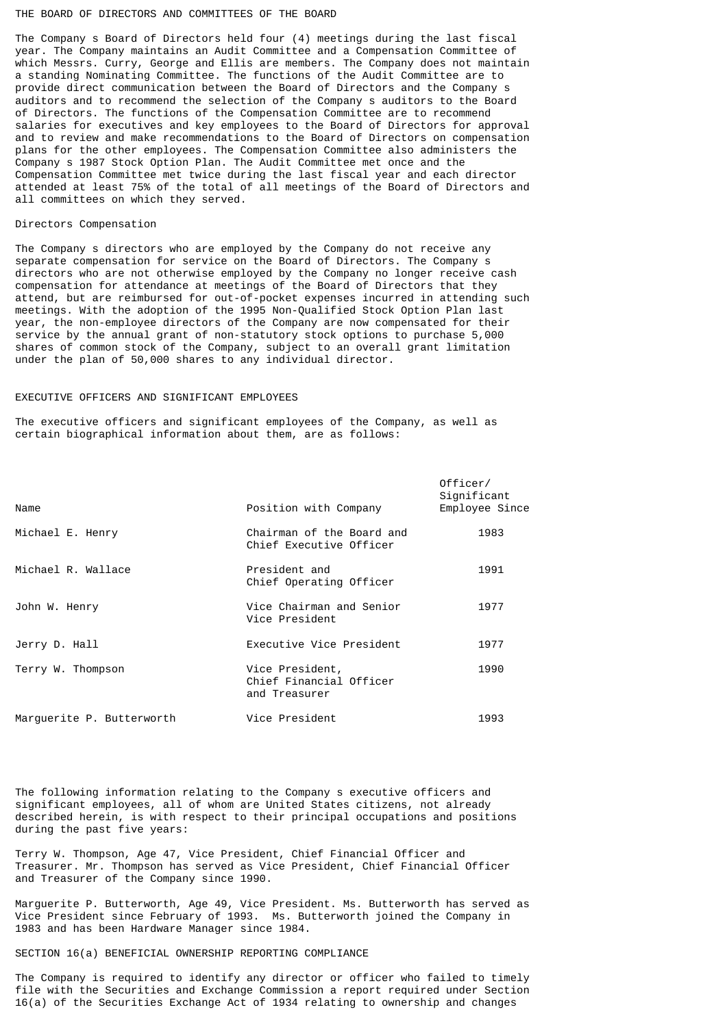### THE BOARD OF DIRECTORS AND COMMITTEES OF THE BOARD

The Company s Board of Directors held four (4) meetings during the last fiscal year. The Company maintains an Audit Committee and a Compensation Committee of which Messrs. Curry, George and Ellis are members. The Company does not maintain a standing Nominating Committee. The functions of the Audit Committee are to provide direct communication between the Board of Directors and the Company s auditors and to recommend the selection of the Company s auditors to the Board of Directors. The functions of the Compensation Committee are to recommend salaries for executives and key employees to the Board of Directors for approval and to review and make recommendations to the Board of Directors on compensation plans for the other employees. The Compensation Committee also administers the Company s 1987 Stock Option Plan. The Audit Committee met once and the Compensation Committee met twice during the last fiscal year and each director attended at least 75% of the total of all meetings of the Board of Directors and all committees on which they served.

### Directors Compensation

The Company s directors who are employed by the Company do not receive any separate compensation for service on the Board of Directors. The Company s directors who are not otherwise employed by the Company no longer receive cash compensation for attendance at meetings of the Board of Directors that they attend, but are reimbursed for out-of-pocket expenses incurred in attending such meetings. With the adoption of the 1995 Non-Qualified Stock Option Plan last year, the non-employee directors of the Company are now compensated for their service by the annual grant of non-statutory stock options to purchase 5,000 shares of common stock of the Company, subject to an overall grant limitation under the plan of 50,000 shares to any individual director.

# EXECUTIVE OFFICERS AND SIGNIFICANT EMPLOYEES

The executive officers and significant employees of the Company, as well as certain biographical information about them, are as follows:

| Name                      | Position with Company                                       | Officer/<br>Significant<br>Employee Since |
|---------------------------|-------------------------------------------------------------|-------------------------------------------|
| Michael E. Henry          | Chairman of the Board and<br>Chief Executive Officer        | 1983                                      |
| Michael R. Wallace        | President and<br>Chief Operating Officer                    | 1991                                      |
| John W. Henry             | Vice Chairman and Senior<br>Vice President                  | 1977                                      |
| Jerry D. Hall             | Executive Vice President                                    | 1977                                      |
| Terry W. Thompson         | Vice President,<br>Chief Financial Officer<br>and Treasurer | 1990                                      |
| Marguerite P. Butterworth | Vice President                                              | 1993                                      |

The following information relating to the Company s executive officers and significant employees, all of whom are United States citizens, not already described herein, is with respect to their principal occupations and positions during the past five years:

Terry W. Thompson, Age 47, Vice President, Chief Financial Officer and Treasurer. Mr. Thompson has served as Vice President, Chief Financial Officer and Treasurer of the Company since 1990.

Marguerite P. Butterworth, Age 49, Vice President. Ms. Butterworth has served as Vice President since February of 1993. Ms. Butterworth joined the Company in 1983 and has been Hardware Manager since 1984.

# SECTION 16(a) BENEFICIAL OWNERSHIP REPORTING COMPLIANCE

The Company is required to identify any director or officer who failed to timely file with the Securities and Exchange Commission a report required under Section 16(a) of the Securities Exchange Act of 1934 relating to ownership and changes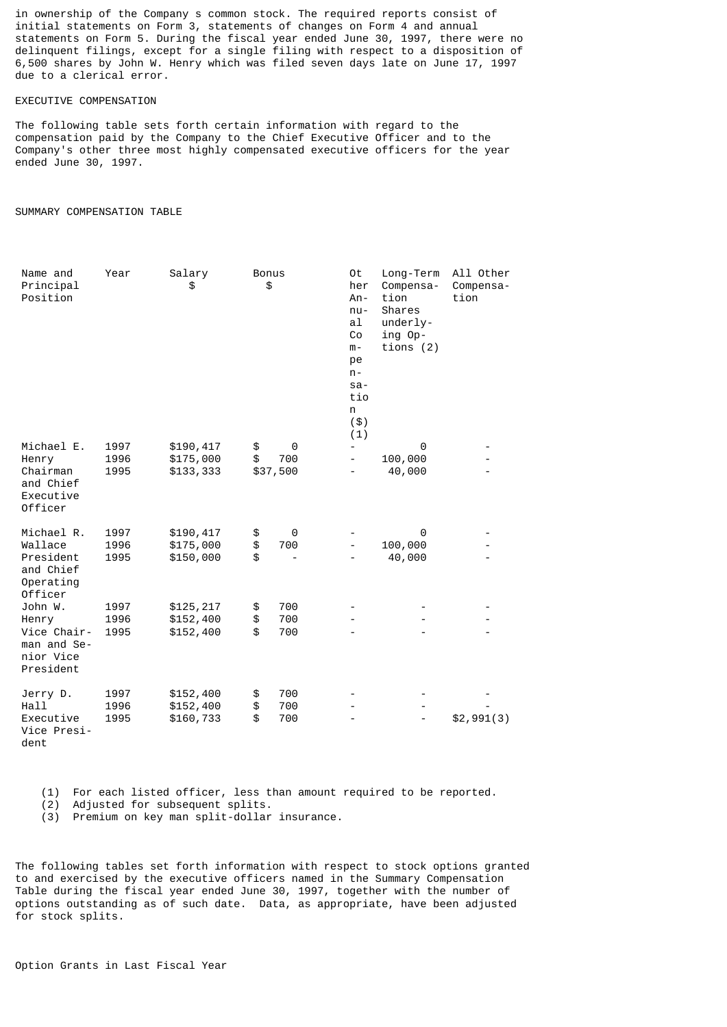in ownership of the Company s common stock. The required reports consist of initial statements on Form 3, statements of changes on Form 4 and annual statements on Form 5. During the fiscal year ended June 30, 1997, there were no delinquent filings, except for a single filing with respect to a disposition of 6,500 shares by John W. Henry which was filed seven days late on June 17, 1997 due to a clerical error.

# EXECUTIVE COMPENSATION

The following table sets forth certain information with regard to the compensation paid by the Company to the Chief Executive Officer and to the Company's other three most highly compensated executive officers for the year ended June 30, 1997.

# SUMMARY COMPENSATION TABLE

| Name and<br>Principal<br>Position                      | Year         | Salary<br>\$           | <b>Bonus</b><br>\$ |                 | 0t<br>her<br>$An -$<br>$nu -$<br>al<br>Co<br>$m -$<br>pe<br>$n -$<br>$sa-$<br>tio<br>n<br>( \$ )<br>(1) | Long-Term<br>Compensa-<br>tion<br>Shares<br>underly-<br>ing Op-<br>tions $(2)$ | All Other<br>Compensa-<br>tion |
|--------------------------------------------------------|--------------|------------------------|--------------------|-----------------|---------------------------------------------------------------------------------------------------------|--------------------------------------------------------------------------------|--------------------------------|
| Michael E.                                             | 1997         | \$190,417              | \$                 | 0               | $\overline{\phantom{0}}$                                                                                | 0                                                                              |                                |
| Henry<br>Chairman<br>and Chief<br>Executive<br>Officer | 1996<br>1995 | \$175,000<br>\$133,333 | \$                 | 700<br>\$37,500 | $\overline{\phantom{0}}$                                                                                | 100,000<br>40,000                                                              |                                |
| Michael R.                                             | 1997         | \$190,417              | \$                 | 0               |                                                                                                         | 0                                                                              |                                |
| Wallace<br>President                                   | 1996<br>1995 | \$175,000<br>\$150,000 | \$<br>\$           | 700             |                                                                                                         | 100,000<br>40,000                                                              |                                |
| and Chief<br>Operating<br>Officer                      |              |                        |                    |                 |                                                                                                         |                                                                                |                                |
| John W.                                                | 1997         | \$125,217              | \$                 | 700             |                                                                                                         |                                                                                |                                |
| Henry<br>Vice Chair-                                   | 1996<br>1995 | \$152,400<br>\$152,400 | \$<br>\$           | 700<br>700      |                                                                                                         |                                                                                |                                |
| man and Se-<br>nior Vice<br>President                  |              |                        |                    |                 |                                                                                                         |                                                                                |                                |
| Jerry D.                                               | 1997         | \$152,400              | \$                 | 700             |                                                                                                         |                                                                                |                                |
| Hall                                                   | 1996         | \$152,400              | \$                 | 700             |                                                                                                         |                                                                                |                                |
| Executive<br>Vice Presi-<br>dent                       | 1995         | \$160,733              | \$                 | 700             |                                                                                                         |                                                                                | \$2,991(3)                     |

(1) For each listed officer, less than amount required to be reported.

(2) Adjusted for subsequent splits.

(3) Premium on key man split-dollar insurance.

The following tables set forth information with respect to stock options granted to and exercised by the executive officers named in the Summary Compensation Table during the fiscal year ended June 30, 1997, together with the number of options outstanding as of such date. Data, as appropriate, have been adjusted for stock splits.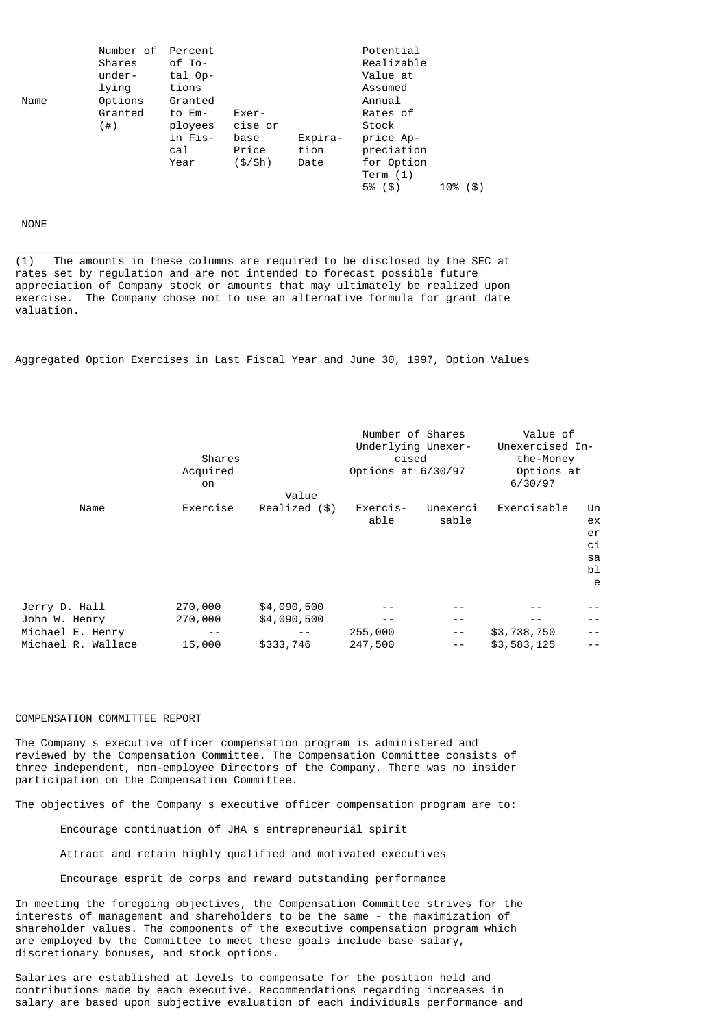|      | Number of<br>Shares<br>under-<br>lying | Percent<br>of To-<br>tal Op-<br>tions                  |                                              |                         | Potential<br>Realizable<br>Value at<br>Assumed                                  |             |
|------|----------------------------------------|--------------------------------------------------------|----------------------------------------------|-------------------------|---------------------------------------------------------------------------------|-------------|
| Name | Options<br>Granted<br>(  # )           | Granted<br>to Em-<br>ployees<br>in Fis-<br>cal<br>Year | Exer-<br>cise or<br>base<br>Price<br>(\$/Sh) | Expira-<br>tion<br>Date | Annual<br>Rates of<br>Stock<br>price Ap-<br>preciation<br>for Option<br>Term(1) |             |
|      |                                        |                                                        |                                              |                         | 5%<br>(5)                                                                       | (\$)<br>10% |

# NONE

\_\_\_\_\_\_\_\_\_\_\_\_\_\_\_\_\_\_\_\_\_\_\_\_\_\_\_\_\_

(1) The amounts in these columns are required to be disclosed by the SEC at rates set by regulation and are not intended to forecast possible future appreciation of Company stock or amounts that may ultimately be realized upon exercise. The Company chose not to use an alternative formula for grant date valuation.

Aggregated Option Exercises in Last Fiscal Year and June 30, 1997, Option Values

|                    | Shares<br>Acquired<br>on |               | Number of Shares<br>Underlying Unexer-<br>cised<br>Options at 6/30/97 |          | Value of<br>Unexercised In-<br>the-Money<br>Options at<br>6/30/97 |      |  |
|--------------------|--------------------------|---------------|-----------------------------------------------------------------------|----------|-------------------------------------------------------------------|------|--|
|                    |                          | Value         |                                                                       |          |                                                                   |      |  |
| Name               | Exercise                 | Realized (\$) | Exercis-                                                              | Unexerci | Exercisable                                                       | Un   |  |
|                    |                          |               | able                                                                  | sable    |                                                                   | ex   |  |
|                    |                          |               |                                                                       |          |                                                                   | er   |  |
|                    |                          |               |                                                                       |          |                                                                   | сi   |  |
|                    |                          |               |                                                                       |          |                                                                   | sa   |  |
|                    |                          |               |                                                                       |          |                                                                   | bl   |  |
|                    |                          |               |                                                                       |          |                                                                   | e    |  |
| Jerry D. Hall      | 270,000                  | \$4,090,500   |                                                                       |          |                                                                   |      |  |
| John W. Henry      | 270,000                  | \$4,090,500   |                                                                       | - -      |                                                                   |      |  |
| Michael E. Henry   | - -                      |               | 255,000                                                               | $ -$     | \$3,738,750                                                       | $ -$ |  |
| Michael R. Wallace | 15,000                   | \$333,746     | 247,500                                                               | $ -$     | \$3,583,125                                                       | $ -$ |  |

### COMPENSATION COMMITTEE REPORT

The Company s executive officer compensation program is administered and reviewed by the Compensation Committee. The Compensation Committee consists of three independent, non-employee Directors of the Company. There was no insider participation on the Compensation Committee.

The objectives of the Company s executive officer compensation program are to:

Encourage continuation of JHA s entrepreneurial spirit

Attract and retain highly qualified and motivated executives

Encourage esprit de corps and reward outstanding performance

In meeting the foregoing objectives, the Compensation Committee strives for the interests of management and shareholders to be the same - the maximization of shareholder values. The components of the executive compensation program which are employed by the Committee to meet these goals include base salary, discretionary bonuses, and stock options.

Salaries are established at levels to compensate for the position held and contributions made by each executive. Recommendations regarding increases in salary are based upon subjective evaluation of each individuals performance and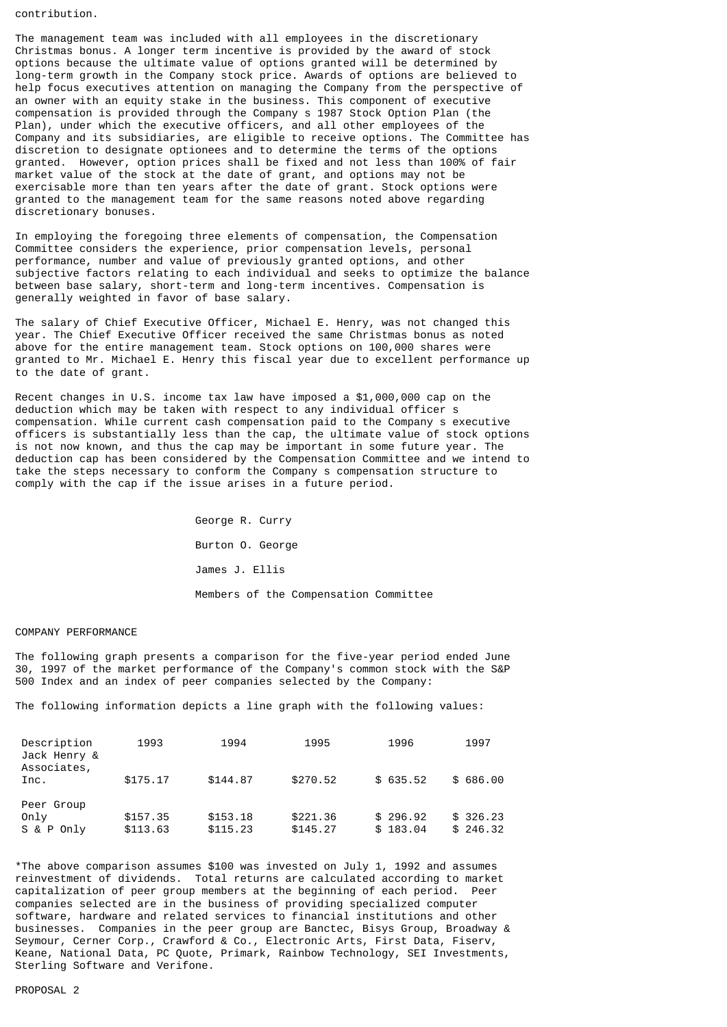contribution.

The management team was included with all employees in the discretionary Christmas bonus. A longer term incentive is provided by the award of stock options because the ultimate value of options granted will be determined by long-term growth in the Company stock price. Awards of options are believed to help focus executives attention on managing the Company from the perspective of an owner with an equity stake in the business. This component of executive compensation is provided through the Company s 1987 Stock Option Plan (the Plan), under which the executive officers, and all other employees of the Company and its subsidiaries, are eligible to receive options. The Committee has discretion to designate optionees and to determine the terms of the options granted. However, option prices shall be fixed and not less than 100% of fair market value of the stock at the date of grant, and options may not be exercisable more than ten years after the date of grant. Stock options were granted to the management team for the same reasons noted above regarding discretionary bonuses.

In employing the foregoing three elements of compensation, the Compensation Committee considers the experience, prior compensation levels, personal performance, number and value of previously granted options, and other subjective factors relating to each individual and seeks to optimize the balance between base salary, short-term and long-term incentives. Compensation is generally weighted in favor of base salary.

The salary of Chief Executive Officer, Michael E. Henry, was not changed this year. The Chief Executive Officer received the same Christmas bonus as noted above for the entire management team. Stock options on 100,000 shares were granted to Mr. Michael E. Henry this fiscal year due to excellent performance up to the date of grant.

Recent changes in U.S. income tax law have imposed a \$1,000,000 cap on the deduction which may be taken with respect to any individual officer s compensation. While current cash compensation paid to the Company s executive officers is substantially less than the cap, the ultimate value of stock options is not now known, and thus the cap may be important in some future year. The deduction cap has been considered by the Compensation Committee and we intend to take the steps necessary to conform the Company s compensation structure to comply with the cap if the issue arises in a future period.

> George R. Curry Burton O. George James J. Ellis Members of the Compensation Committee

### COMPANY PERFORMANCE

The following graph presents a comparison for the five-year period ended June 30, 1997 of the market performance of the Company's common stock with the S&P 500 Index and an index of peer companies selected by the Company:

The following information depicts a line graph with the following values:

| Description<br>Jack Henry &<br>Associates, | 1993     | 1994     | 1995     | 1996     | 1997     |
|--------------------------------------------|----------|----------|----------|----------|----------|
| Inc.                                       | \$175.17 | \$144.87 | \$270.52 | \$635.52 | \$686.00 |
| Peer Group                                 |          |          |          |          |          |
| Only                                       | \$157.35 | \$153.18 | \$221,36 | \$296.92 | \$326.23 |
| S & P Only                                 | \$113.63 | \$115.23 | \$145.27 | \$183.04 | \$246.32 |

\*The above comparison assumes \$100 was invested on July 1, 1992 and assumes reinvestment of dividends. Total returns are calculated according to market capitalization of peer group members at the beginning of each period. Peer companies selected are in the business of providing specialized computer software, hardware and related services to financial institutions and other businesses. Companies in the peer group are Banctec, Bisys Group, Broadway & Seymour, Cerner Corp., Crawford & Co., Electronic Arts, First Data, Fiserv, Keane, National Data, PC Quote, Primark, Rainbow Technology, SEI Investments, Sterling Software and Verifone.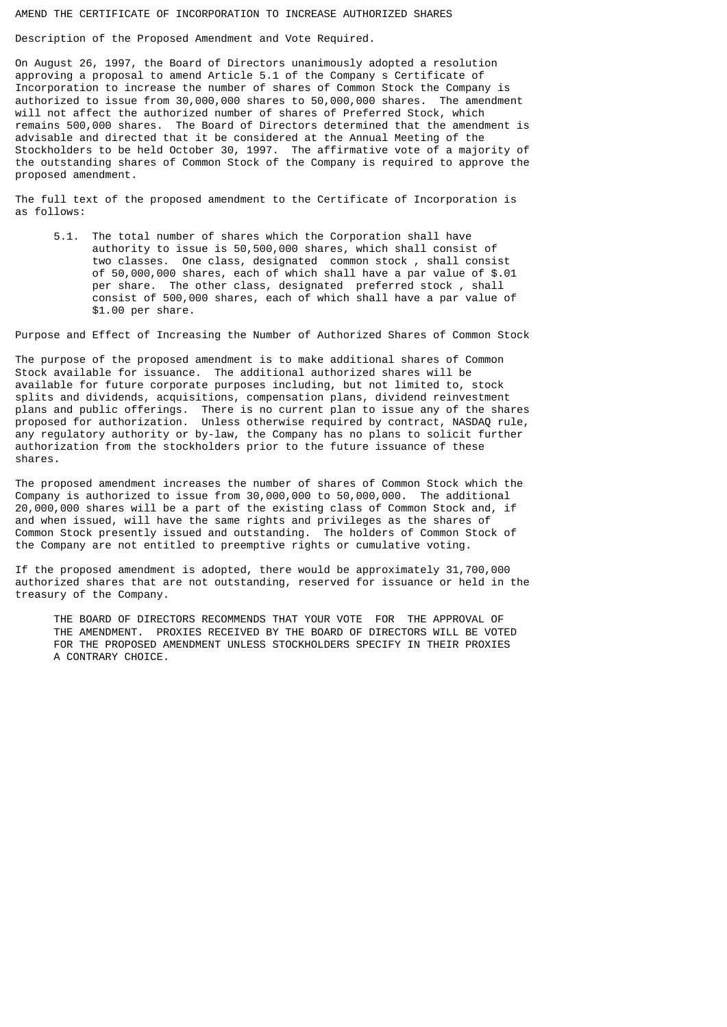### AMEND THE CERTIFICATE OF INCORPORATION TO INCREASE AUTHORIZED SHARES

Description of the Proposed Amendment and Vote Required.

On August 26, 1997, the Board of Directors unanimously adopted a resolution approving a proposal to amend Article 5.1 of the Company s Certificate of Incorporation to increase the number of shares of Common Stock the Company is authorized to issue from 30,000,000 shares to 50,000,000 shares. The amendment will not affect the authorized number of shares of Preferred Stock, which remains 500,000 shares. The Board of Directors determined that the amendment is advisable and directed that it be considered at the Annual Meeting of the Stockholders to be held October 30, 1997. The affirmative vote of a majority of the outstanding shares of Common Stock of the Company is required to approve the proposed amendment.

The full text of the proposed amendment to the Certificate of Incorporation is as follows:

 5.1. The total number of shares which the Corporation shall have authority to issue is 50,500,000 shares, which shall consist of two classes. One class, designated common stock , shall consist of 50,000,000 shares, each of which shall have a par value of \$.01 per share. The other class, designated preferred stock, shall consist of 500,000 shares, each of which shall have a par value of \$1.00 per share.

Purpose and Effect of Increasing the Number of Authorized Shares of Common Stock

The purpose of the proposed amendment is to make additional shares of Common Stock available for issuance. The additional authorized shares will be available for future corporate purposes including, but not limited to, stock splits and dividends, acquisitions, compensation plans, dividend reinvestment plans and public offerings. There is no current plan to issue any of the shares proposed for authorization. Unless otherwise required by contract, NASDAQ rule, any regulatory authority or by-law, the Company has no plans to solicit further authorization from the stockholders prior to the future issuance of these shares.

The proposed amendment increases the number of shares of Common Stock which the Company is authorized to issue from 30,000,000 to 50,000,000. The additional 20,000,000 shares will be a part of the existing class of Common Stock and, if and when issued, will have the same rights and privileges as the shares of Common Stock presently issued and outstanding. The holders of Common Stock of the Company are not entitled to preemptive rights or cumulative voting.

If the proposed amendment is adopted, there would be approximately 31,700,000 authorized shares that are not outstanding, reserved for issuance or held in the treasury of the Company.

 THE BOARD OF DIRECTORS RECOMMENDS THAT YOUR VOTE FOR THE APPROVAL OF THE AMENDMENT. PROXIES RECEIVED BY THE BOARD OF DIRECTORS WILL BE VOTED FOR THE PROPOSED AMENDMENT UNLESS STOCKHOLDERS SPECIFY IN THEIR PROXIES A CONTRARY CHOICE.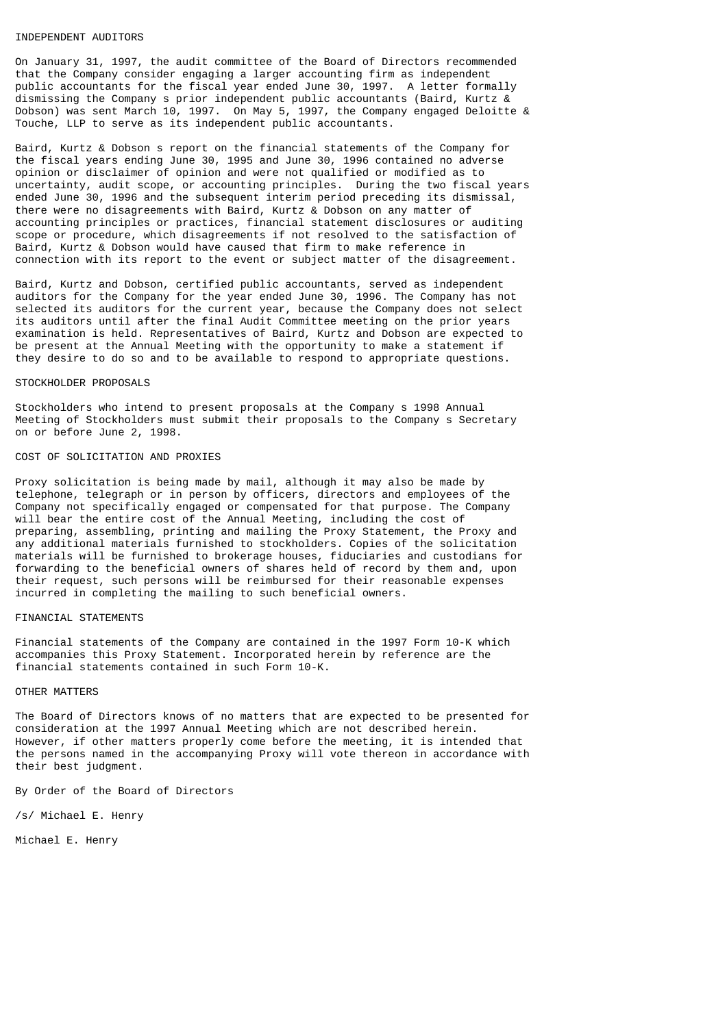### INDEPENDENT AUDITORS

On January 31, 1997, the audit committee of the Board of Directors recommended that the Company consider engaging a larger accounting firm as independent public accountants for the fiscal year ended June 30, 1997. A letter formally dismissing the Company s prior independent public accountants (Baird, Kurtz & Dobson) was sent March 10, 1997. On May 5, 1997, the Company engaged Deloitte & Touche, LLP to serve as its independent public accountants.

Baird, Kurtz & Dobson s report on the financial statements of the Company for the fiscal years ending June 30, 1995 and June 30, 1996 contained no adverse opinion or disclaimer of opinion and were not qualified or modified as to uncertainty, audit scope, or accounting principles. During the two fiscal years ended June 30, 1996 and the subsequent interim period preceding its dismissal, there were no disagreements with Baird, Kurtz & Dobson on any matter of accounting principles or practices, financial statement disclosures or auditing scope or procedure, which disagreements if not resolved to the satisfaction of Baird, Kurtz & Dobson would have caused that firm to make reference in connection with its report to the event or subject matter of the disagreement.

Baird, Kurtz and Dobson, certified public accountants, served as independent auditors for the Company for the year ended June 30, 1996. The Company has not selected its auditors for the current year, because the Company does not select its auditors until after the final Audit Committee meeting on the prior years examination is held. Representatives of Baird, Kurtz and Dobson are expected to be present at the Annual Meeting with the opportunity to make a statement if they desire to do so and to be available to respond to appropriate questions.

### STOCKHOLDER PROPOSALS

Stockholders who intend to present proposals at the Company s 1998 Annual Meeting of Stockholders must submit their proposals to the Company s Secretary on or before June 2, 1998.

### COST OF SOLICITATION AND PROXIES

Proxy solicitation is being made by mail, although it may also be made by telephone, telegraph or in person by officers, directors and employees of the Company not specifically engaged or compensated for that purpose. The Company will bear the entire cost of the Annual Meeting, including the cost of preparing, assembling, printing and mailing the Proxy Statement, the Proxy and any additional materials furnished to stockholders. Copies of the solicitation materials will be furnished to brokerage houses, fiduciaries and custodians for forwarding to the beneficial owners of shares held of record by them and, upon their request, such persons will be reimbursed for their reasonable expenses incurred in completing the mailing to such beneficial owners.

# FINANCIAL STATEMENTS

Financial statements of the Company are contained in the 1997 Form 10-K which accompanies this Proxy Statement. Incorporated herein by reference are the financial statements contained in such Form 10-K.

# OTHER MATTERS

The Board of Directors knows of no matters that are expected to be presented for consideration at the 1997 Annual Meeting which are not described herein. However, if other matters properly come before the meeting, it is intended that the persons named in the accompanying Proxy will vote thereon in accordance with their best judgment.

By Order of the Board of Directors

/s/ Michael E. Henry

Michael E. Henry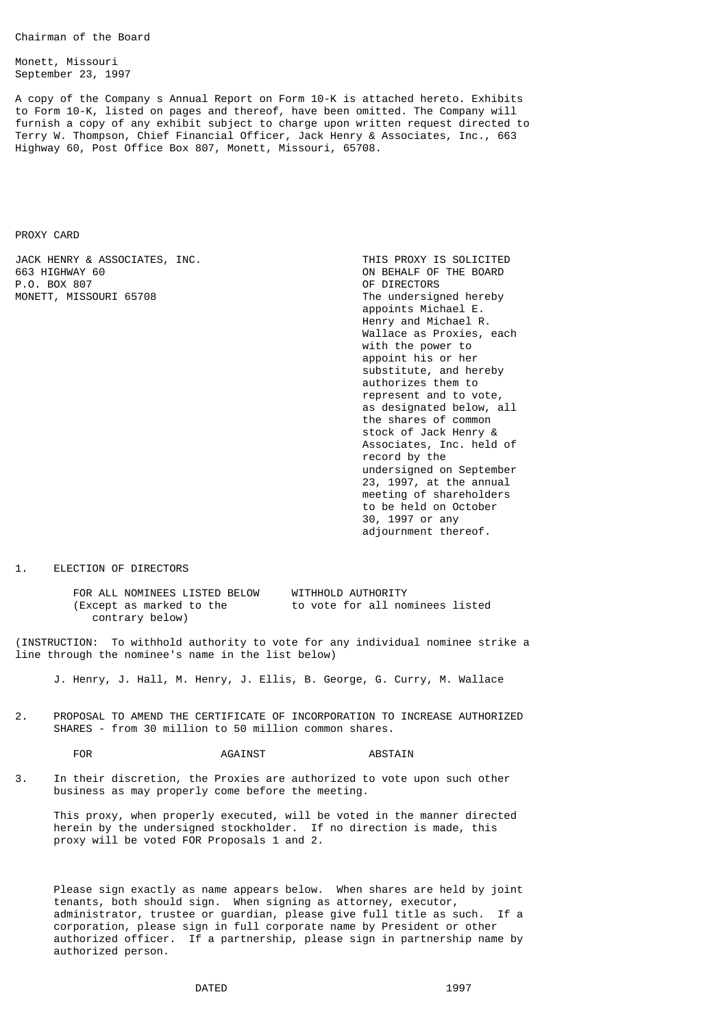Chairman of the Board

Monett, Missouri September 23, 1997

A copy of the Company s Annual Report on Form 10-K is attached hereto. Exhibits to Form 10-K, listed on pages and thereof, have been omitted. The Company will furnish a copy of any exhibit subject to charge upon written request directed to Terry W. Thompson, Chief Financial Officer, Jack Henry & Associates, Inc., 663 Highway 60, Post Office Box 807, Monett, Missouri, 65708.

PROXY CARD

JACK HENRY & ASSOCIATES, INC.<br>663 HIGHWAY 60 P.O. BOX 807 MONETT, MISSOURI 65708 The undersigned hereby

ON BEHALF OF THE BOARD<br>OF DIRECTORS appoints Michael E. Henry and Michael R. Wallace as Proxies, each with the power to appoint his or her substitute, and hereby authorizes them to represent and to vote, as designated below, all the shares of common stock of Jack Henry & Associates, Inc. held of record by the undersigned on September 23, 1997, at the annual meeting of shareholders to be held on October 30, 1997 or any adjournment thereof.

1. ELECTION OF DIRECTORS

FOR ALL NOMINEES LISTED BELOW WITHHOLD AUTHORITY<br>(Except as marked to the to vote for all no to vote for all nominees listed contrary below)

(INSTRUCTION: To withhold authority to vote for any individual nominee strike a line through the nominee's name in the list below)

J. Henry, J. Hall, M. Henry, J. Ellis, B. George, G. Curry, M. Wallace

2. PROPOSAL TO AMEND THE CERTIFICATE OF INCORPORATION TO INCREASE AUTHORIZED SHARES - from 30 million to 50 million common shares.

FOR AGAINST AGES AGAINST ABSTAIN

3. In their discretion, the Proxies are authorized to vote upon such other business as may properly come before the meeting.

 This proxy, when properly executed, will be voted in the manner directed herein by the undersigned stockholder. If no direction is made, this proxy will be voted FOR Proposals 1 and 2.

 Please sign exactly as name appears below. When shares are held by joint tenants, both should sign. When signing as attorney, executor, administrator, trustee or guardian, please give full title as such. If a corporation, please sign in full corporate name by President or other authorized officer. If a partnership, please sign in partnership name by authorized person.